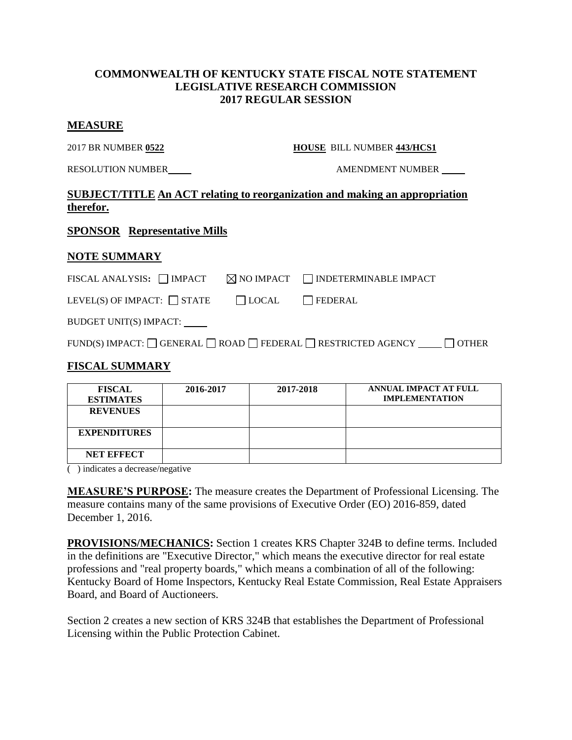## **COMMONWEALTH OF KENTUCKY STATE FISCAL NOTE STATEMENT LEGISLATIVE RESEARCH COMMISSION 2017 REGULAR SESSION**

#### **MEASURE**

2017 BR NUMBER **0522 HOUSE** BILL NUMBER **443/HCS1**

RESOLUTION NUMBER AMENDMENT NUMBER

# **SUBJECT/TITLE An ACT relating to reorganization and making an appropriation therefor.**

## **SPONSOR Representative Mills**

## **NOTE SUMMARY**

| FISCAL ANALYSIS: $\Box$ IMPACT $\Box$ NO IMPACT $\Box$ INDETERMINABLE IMPACT |                 |  |
|------------------------------------------------------------------------------|-----------------|--|
| LEVEL(S) OF IMPACT: $\Box$ STATE                                             | LOCAL   FEDERAL |  |
| BUDGET UNIT(S) IMPACT:                                                       |                 |  |

| FUND(S) IMPACT: GENERAL GROAD GEDERAL GESTRICTED AGENCY<br>$\bigcap$ OTHER |
|----------------------------------------------------------------------------|
|----------------------------------------------------------------------------|

## **FISCAL SUMMARY**

| <b>FISCAL</b><br><b>ESTIMATES</b> | 2016-2017 | 2017-2018 | <b>ANNUAL IMPACT AT FULL</b><br><b>IMPLEMENTATION</b> |
|-----------------------------------|-----------|-----------|-------------------------------------------------------|
| <b>REVENUES</b>                   |           |           |                                                       |
| <b>EXPENDITURES</b>               |           |           |                                                       |
| <b>NET EFFECT</b>                 |           |           |                                                       |

( ) indicates a decrease/negative

**MEASURE'S PURPOSE:** The measure creates the Department of Professional Licensing. The measure contains many of the same provisions of Executive Order (EO) 2016-859, dated December 1, 2016.

**PROVISIONS/MECHANICS:** Section 1 creates KRS Chapter 324B to define terms. Included in the definitions are "Executive Director," which means the executive director for real estate professions and "real property boards," which means a combination of all of the following: Kentucky Board of Home Inspectors, Kentucky Real Estate Commission, Real Estate Appraisers Board, and Board of Auctioneers.

Section 2 creates a new section of KRS 324B that establishes the Department of Professional Licensing within the Public Protection Cabinet.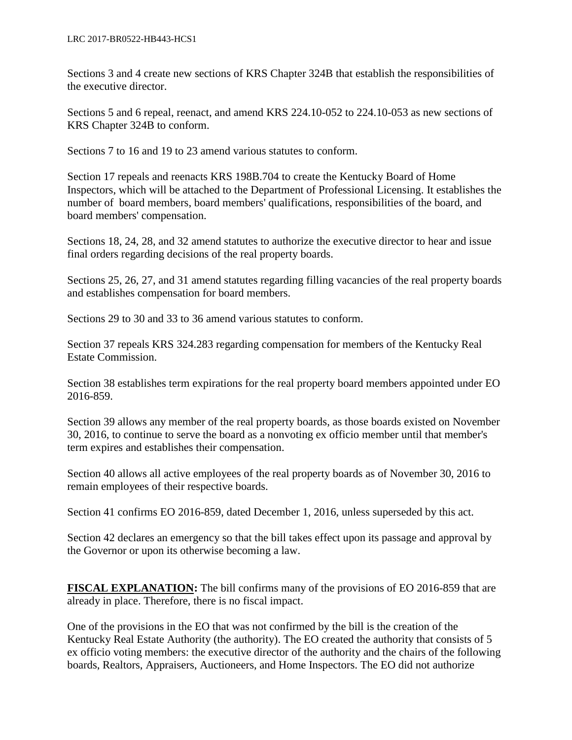Sections 3 and 4 create new sections of KRS Chapter 324B that establish the responsibilities of the executive director.

Sections 5 and 6 repeal, reenact, and amend KRS 224.10-052 to 224.10-053 as new sections of KRS Chapter 324B to conform.

Sections 7 to 16 and 19 to 23 amend various statutes to conform.

Section 17 repeals and reenacts KRS 198B.704 to create the Kentucky Board of Home Inspectors, which will be attached to the Department of Professional Licensing. It establishes the number of board members, board members' qualifications, responsibilities of the board, and board members' compensation.

Sections 18, 24, 28, and 32 amend statutes to authorize the executive director to hear and issue final orders regarding decisions of the real property boards.

Sections 25, 26, 27, and 31 amend statutes regarding filling vacancies of the real property boards and establishes compensation for board members.

Sections 29 to 30 and 33 to 36 amend various statutes to conform.

Section 37 repeals KRS 324.283 regarding compensation for members of the Kentucky Real Estate Commission.

Section 38 establishes term expirations for the real property board members appointed under EO 2016-859.

Section 39 allows any member of the real property boards, as those boards existed on November 30, 2016, to continue to serve the board as a nonvoting ex officio member until that member's term expires and establishes their compensation.

Section 40 allows all active employees of the real property boards as of November 30, 2016 to remain employees of their respective boards.

Section 41 confirms EO 2016-859, dated December 1, 2016, unless superseded by this act.

Section 42 declares an emergency so that the bill takes effect upon its passage and approval by the Governor or upon its otherwise becoming a law.

**FISCAL EXPLANATION:** The bill confirms many of the provisions of EO 2016-859 that are already in place. Therefore, there is no fiscal impact.

One of the provisions in the EO that was not confirmed by the bill is the creation of the Kentucky Real Estate Authority (the authority). The EO created the authority that consists of 5 ex officio voting members: the executive director of the authority and the chairs of the following boards, Realtors, Appraisers, Auctioneers, and Home Inspectors. The EO did not authorize